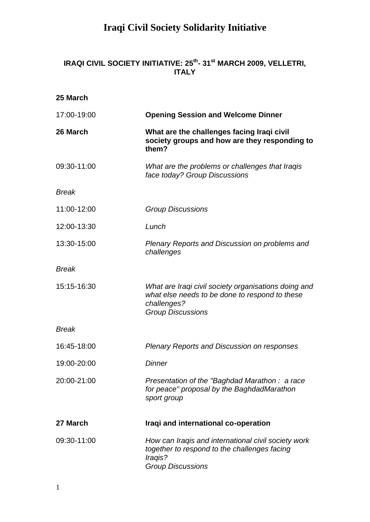#### **IRAQI CIVIL SOCIETY INITIATIVE: 25 th - 31st MARCH 2009, VELLETRI, ITALY**

| 25 March     |                                                                                                                                                   |
|--------------|---------------------------------------------------------------------------------------------------------------------------------------------------|
| 17:00-19:00  | <b>Opening Session and Welcome Dinner</b>                                                                                                         |
| 26 March     | What are the challenges facing Iraqi civil<br>society groups and how are they responding to<br>them?                                              |
| 09:30-11:00  | What are the problems or challenges that Iraqis<br>face today? Group Discussions                                                                  |
| <b>Break</b> |                                                                                                                                                   |
| 11:00-12:00  | <b>Group Discussions</b>                                                                                                                          |
| 12:00-13:30  | Lunch                                                                                                                                             |
| 13:30-15:00  | Plenary Reports and Discussion on problems and<br>challenges                                                                                      |
| <b>Break</b> |                                                                                                                                                   |
| 15:15-16:30  | What are Iraqi civil society organisations doing and<br>what else needs to be done to respond to these<br>challenges?<br><b>Group Discussions</b> |
| <b>Break</b> |                                                                                                                                                   |
| 16:45-18:00  | <b>Plenary Reports and Discussion on responses</b>                                                                                                |
| 19:00-20:00  | <b>Dinner</b>                                                                                                                                     |
| 20:00-21:00  | Presentation of the "Baghdad Marathon: a race<br>for peace" proposal by the BaghdadMarathon<br>sport group                                        |
| 27 March     | Iraqi and international co-operation                                                                                                              |
| 09:30-11:00  | How can Iraqis and international civil society work<br>together to respond to the challenges facing<br>Iraqis?<br><b>Group Discussions</b>        |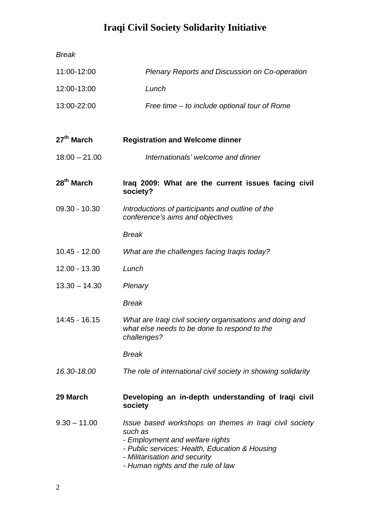| <b>Break</b>           |                                                                                                                                                                                                                               |
|------------------------|-------------------------------------------------------------------------------------------------------------------------------------------------------------------------------------------------------------------------------|
| 11:00-12:00            | Plenary Reports and Discussion on Co-operation                                                                                                                                                                                |
| 12:00-13:00            | Lunch                                                                                                                                                                                                                         |
| 13:00-22:00            | Free time – to include optional tour of Rome                                                                                                                                                                                  |
| $27th$ March           | <b>Registration and Welcome dinner</b>                                                                                                                                                                                        |
| $18:00 - 21.00$        | Internationals' welcome and dinner                                                                                                                                                                                            |
| 28 <sup>th</sup> March | Iraq 2009: What are the current issues facing civil<br>society?                                                                                                                                                               |
| 09.30 - 10.30          | Introductions of participants and outline of the<br>conference's aims and objectives                                                                                                                                          |
|                        | <b>Break</b>                                                                                                                                                                                                                  |
| $10.45 - 12.00$        | What are the challenges facing Iraqis today?                                                                                                                                                                                  |
| 12.00 - 13.30          | Lunch                                                                                                                                                                                                                         |
| $13.30 - 14.30$        | Plenary                                                                                                                                                                                                                       |
|                        | <b>Break</b>                                                                                                                                                                                                                  |
| 14:45 - 16.15          | What are Iraqi civil society organisations and doing and<br>what else needs to be done to respond to the<br>challenges?                                                                                                       |
|                        | <b>Break</b>                                                                                                                                                                                                                  |
| 16.30-18.00            | The role of international civil society in showing solidarity                                                                                                                                                                 |
| 29 March               | Developing an in-depth understanding of Iraqi civil<br>society                                                                                                                                                                |
| $9.30 - 11.00$         | Issue based workshops on themes in Iraqi civil society<br>such as<br>- Employment and welfare rights<br>- Public services: Health, Education & Housing<br>- Militarisation and security<br>- Human rights and the rule of law |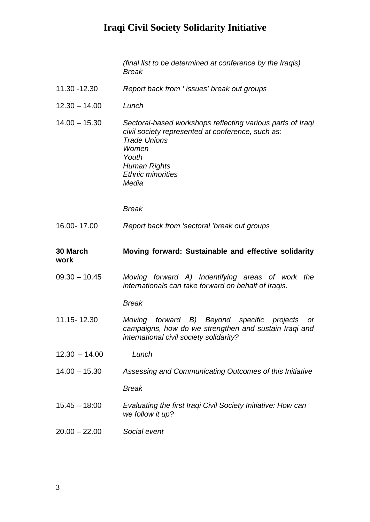*(final list to be determined at conference by the Iraqis) Break*

| 11.30 -12.30 | Report back from 'issues' break out groups |
|--------------|--------------------------------------------|
|              |                                            |

- 12.30 14.00 *Lunch*
- 14.00 15.30 *Sectoral-based workshops reflecting various parts of Iraqi civil society represented at conference, such as: Trade Unions Women Youth Human Rights Ethnic minorities Media*

*Break*

16.00- 17.00 *Report back from 'sectoral 'break out groups*

#### **30 March Moving forward: Sustainable and effective solidarity work**

09.30 – 10.45 *Moving forward A) Indentifying areas of work the internationals can take forward on behalf of Iraqis.*

*Break*

- 11.15- 12.30 *Moving forward B) Beyond specific projects or campaigns, how do we strengthen and sustain Iraqi and international civil society solidarity?*
- 12.30 14.00 *Lunch*
- 14.00 15.30 *Assessing and Communicating Outcomes of this Initiative*

*Break*

- 15.45 18:00 *Evaluating the first Iraqi Civil Society Initiative: How can we follow it up?*
- 20.00 22.00 *Social event*